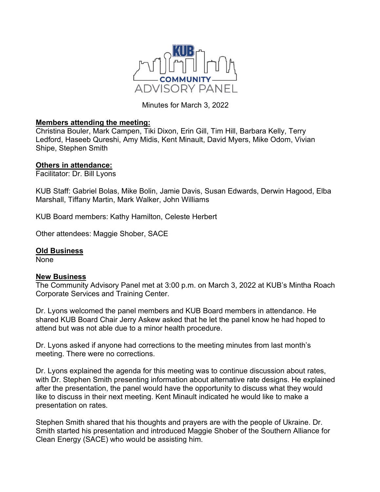

Minutes for March 3, 2022

## **Members attending the meeting:**

Christina Bouler, Mark Campen, Tiki Dixon, Erin Gill, Tim Hill, Barbara Kelly, Terry Ledford, Haseeb Qureshi, Amy Midis, Kent Minault, David Myers, Mike Odom, Vivian Shipe, Stephen Smith

## **Others in attendance:**

Facilitator: Dr. Bill Lyons

KUB Staff: Gabriel Bolas, Mike Bolin, Jamie Davis, Susan Edwards, Derwin Hagood, Elba Marshall, Tiffany Martin, Mark Walker, John Williams

KUB Board members: Kathy Hamilton, Celeste Herbert

Other attendees: Maggie Shober, SACE

## **Old Business**

None

## **New Business**

The Community Advisory Panel met at 3:00 p.m. on March 3, 2022 at KUB's Mintha Roach Corporate Services and Training Center.

Dr. Lyons welcomed the panel members and KUB Board members in attendance. He shared KUB Board Chair Jerry Askew asked that he let the panel know he had hoped to attend but was not able due to a minor health procedure.

Dr. Lyons asked if anyone had corrections to the meeting minutes from last month's meeting. There were no corrections.

Dr. Lyons explained the agenda for this meeting was to continue discussion about rates, with Dr. Stephen Smith presenting information about alternative rate designs. He explained after the presentation, the panel would have the opportunity to discuss what they would like to discuss in their next meeting. Kent Minault indicated he would like to make a presentation on rates.

Stephen Smith shared that his thoughts and prayers are with the people of Ukraine. Dr. Smith started his presentation and introduced Maggie Shober of the Southern Alliance for Clean Energy (SACE) who would be assisting him.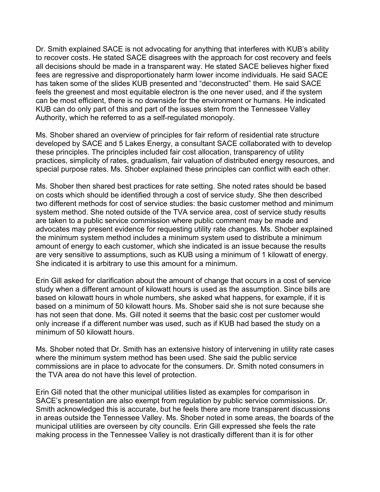Dr. Smith explained SACE is not advocating for anything that interferes with KUB's ability to recover costs. He stated SACE disagrees with the approach for cost recovery and feels all decisions should be made in a transparent way. He stated SACE believes higher fixed fees are regressive and disproportionately harm lower income individuals. He said SACE has taken some of the slides KUB presented and "deconstructed" them. He said SACE feels the greenest and most equitable electron is the one never used, and if the system can be most efficient, there is no downside for the environment or humans. He indicated KUB can do only part of this and part of the issues stem from the Tennessee Valley Authority, which he referred to as a self-regulated monopoly.

Ms. Shober shared an overview of principles for fair reform of residential rate structure developed by SACE and 5 Lakes Energy, a consultant SACE collaborated with to develop these principles. The principles included fair cost allocation, transparency of utility practices, simplicity of rates, gradualism, fair valuation of distributed energy resources, and special purpose rates. Ms. Shober explained these principles can conflict with each other.

Ms. Shober then shared best practices for rate setting. She noted rates should be based on costs which should be identified through a cost of service study. She then described two different methods for cost of service studies: the basic customer method and minimum system method. She noted outside of the TVA service area, cost of service study results are taken to a public service commission where public comment may be made and advocates may present evidence for requesting utility rate changes. Ms. Shober explained the minimum system method includes a minimum system used to distribute a minimum amount of energy to each customer, which she indicated is an issue because the results are very sensitive to assumptions, such as KUB using a minimum of 1 kilowatt of energy. She indicated it is arbitrary to use this amount for a minimum.

Erin Gill asked for clarification about the amount of change that occurs in a cost of service study when a different amount of kilowatt hours is used as the assumption. Since bills are based on kilowatt hours in whole numbers, she asked what happens, for example, if it is based on a minimum of 50 kilowatt hours. Ms. Shober said she is not sure because she has not seen that done. Ms. Gill noted it seems that the basic cost per customer would only increase if a different number was used, such as if KUB had based the study on a minimum of 50 kilowatt hours.

Ms. Shober noted that Dr. Smith has an extensive history of intervening in utility rate cases where the minimum system method has been used. She said the public service commissions are in place to advocate for the consumers. Dr. Smith noted consumers in the TVA area do not have this level of protection.

Erin Gill noted that the other municipal utilities listed as examples for comparison in SACE's presentation are also exempt from regulation by public service commissions. Dr. Smith acknowledged this is accurate, but he feels there are more transparent discussions in areas outside the Tennessee Valley. Ms. Shober noted in some areas, the boards of the municipal utilities are overseen by city councils. Erin Gill expressed she feels the rate making process in the Tennessee Valley is not drastically different than it is for other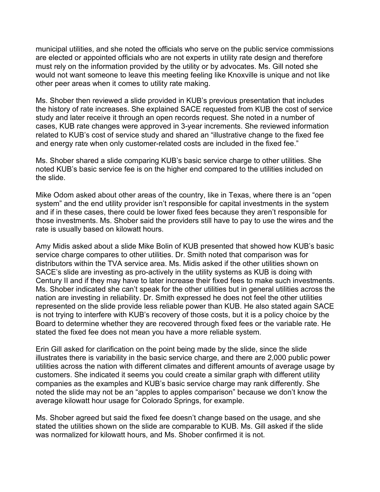municipal utilities, and she noted the officials who serve on the public service commissions are elected or appointed officials who are not experts in utility rate design and therefore must rely on the information provided by the utility or by advocates. Ms. Gill noted she would not want someone to leave this meeting feeling like Knoxville is unique and not like other peer areas when it comes to utility rate making.

Ms. Shober then reviewed a slide provided in KUB's previous presentation that includes the history of rate increases. She explained SACE requested from KUB the cost of service study and later receive it through an open records request. She noted in a number of cases, KUB rate changes were approved in 3-year increments. She reviewed information related to KUB's cost of service study and shared an "illustrative change to the fixed fee and energy rate when only customer-related costs are included in the fixed fee."

Ms. Shober shared a slide comparing KUB's basic service charge to other utilities. She noted KUB's basic service fee is on the higher end compared to the utilities included on the slide.

Mike Odom asked about other areas of the country, like in Texas, where there is an "open system" and the end utility provider isn't responsible for capital investments in the system and if in these cases, there could be lower fixed fees because they aren't responsible for those investments. Ms. Shober said the providers still have to pay to use the wires and the rate is usually based on kilowatt hours.

Amy Midis asked about a slide Mike Bolin of KUB presented that showed how KUB's basic service charge compares to other utilities. Dr. Smith noted that comparison was for distributors within the TVA service area. Ms. Midis asked if the other utilities shown on SACE's slide are investing as pro-actively in the utility systems as KUB is doing with Century II and if they may have to later increase their fixed fees to make such investments. Ms. Shober indicated she can't speak for the other utilities but in general utilities across the nation are investing in reliability. Dr. Smith expressed he does not feel the other utilities represented on the slide provide less reliable power than KUB. He also stated again SACE is not trying to interfere with KUB's recovery of those costs, but it is a policy choice by the Board to determine whether they are recovered through fixed fees or the variable rate. He stated the fixed fee does not mean you have a more reliable system.

Erin Gill asked for clarification on the point being made by the slide, since the slide illustrates there is variability in the basic service charge, and there are 2,000 public power utilities across the nation with different climates and different amounts of average usage by customers. She indicated it seems you could create a similar graph with different utility companies as the examples and KUB's basic service charge may rank differently. She noted the slide may not be an "apples to apples comparison" because we don't know the average kilowatt hour usage for Colorado Springs, for example.

Ms. Shober agreed but said the fixed fee doesn't change based on the usage, and she stated the utilities shown on the slide are comparable to KUB. Ms. Gill asked if the slide was normalized for kilowatt hours, and Ms. Shober confirmed it is not.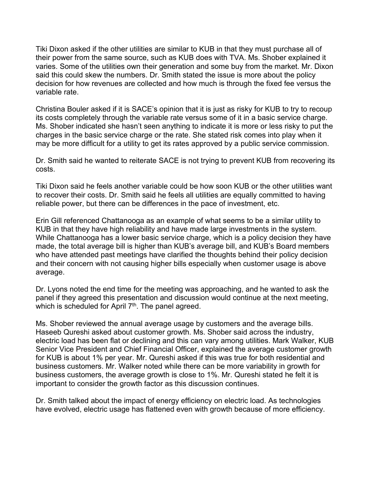Tiki Dixon asked if the other utilities are similar to KUB in that they must purchase all of their power from the same source, such as KUB does with TVA. Ms. Shober explained it varies. Some of the utilities own their generation and some buy from the market. Mr. Dixon said this could skew the numbers. Dr. Smith stated the issue is more about the policy decision for how revenues are collected and how much is through the fixed fee versus the variable rate.

Christina Bouler asked if it is SACE's opinion that it is just as risky for KUB to try to recoup its costs completely through the variable rate versus some of it in a basic service charge. Ms. Shober indicated she hasn't seen anything to indicate it is more or less risky to put the charges in the basic service charge or the rate. She stated risk comes into play when it may be more difficult for a utility to get its rates approved by a public service commission.

Dr. Smith said he wanted to reiterate SACE is not trying to prevent KUB from recovering its costs.

Tiki Dixon said he feels another variable could be how soon KUB or the other utilities want to recover their costs. Dr. Smith said he feels all utilities are equally committed to having reliable power, but there can be differences in the pace of investment, etc.

Erin Gill referenced Chattanooga as an example of what seems to be a similar utility to KUB in that they have high reliability and have made large investments in the system. While Chattanooga has a lower basic service charge, which is a policy decision they have made, the total average bill is higher than KUB's average bill, and KUB's Board members who have attended past meetings have clarified the thoughts behind their policy decision and their concern with not causing higher bills especially when customer usage is above average.

Dr. Lyons noted the end time for the meeting was approaching, and he wanted to ask the panel if they agreed this presentation and discussion would continue at the next meeting, which is scheduled for April 7<sup>th</sup>. The panel agreed.

Ms. Shober reviewed the annual average usage by customers and the average bills. Haseeb Qureshi asked about customer growth. Ms. Shober said across the industry, electric load has been flat or declining and this can vary among utilities. Mark Walker, KUB Senior Vice President and Chief Financial Officer, explained the average customer growth for KUB is about 1% per year. Mr. Qureshi asked if this was true for both residential and business customers. Mr. Walker noted while there can be more variability in growth for business customers, the average growth is close to 1%. Mr. Qureshi stated he felt it is important to consider the growth factor as this discussion continues.

Dr. Smith talked about the impact of energy efficiency on electric load. As technologies have evolved, electric usage has flattened even with growth because of more efficiency.